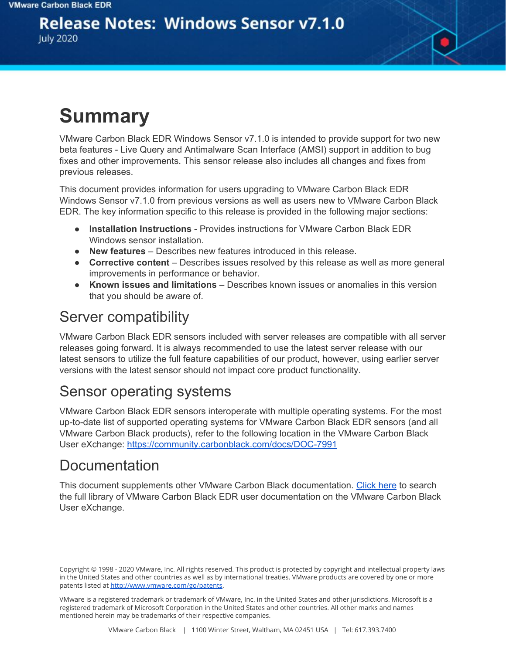## **Release Notes: Windows Sensor v7.1.0**

**July 2020** 

# **Summary**

VMware Carbon Black EDR Windows Sensor v7.1.0 is intended to provide support for two new beta features - Live Query and Antimalware Scan Interface (AMSI) support in addition to bug fixes and other improvements. This sensor release also includes all changes and fixes from previous releases.

This document provides information for users upgrading to VMware Carbon Black EDR Windows Sensor v7.1.0 from previous versions as well as users new to VMware Carbon Black EDR. The key information specific to this release is provided in the following major sections:

- **Installation Instructions** Provides instructions for VMware Carbon Black EDR Windows sensor installation.
- **New features** Describes new features introduced in this release.
- **Corrective content** Describes issues resolved by this release as well as more general improvements in performance or behavior.
- **Known issues and limitations** Describes known issues or anomalies in this version that you should be aware of.

### Server compatibility

VMware Carbon Black EDR sensors included with server releases are compatible with all server releases going forward. It is always recommended to use the latest server release with our latest sensors to utilize the full feature capabilities of our product, however, using earlier server versions with the latest sensor should not impact core product functionality.

#### Sensor operating systems

VMware Carbon Black EDR sensors interoperate with multiple operating systems. For the most up-to-date list of supported operating systems for VMware Carbon Black EDR sensors (and all VMware Carbon Black products), refer to the following location in the VMware Carbon Black User eXchange: <https://community.carbonblack.com/docs/DOC-7991>

#### **Documentation**

This document supplements other VMware Carbon Black documentation. [Click](https://community.carbonblack.com/t5/Cb-Response/ct-p/cbresponse) here to search the full library of VMware Carbon Black EDR user documentation on the VMware Carbon Black User eXchange.

VMware is a registered trademark or trademark of VMware, Inc. in the United States and other jurisdictions. Microsoft is a registered trademark of Microsoft Corporation in the United States and other countries. All other marks and names mentioned herein may be trademarks of their respective companies.

Copyright © 1998 - 2020 VMware, Inc. All rights reserved. This product is protected by copyright and intellectual property laws in the United States and other countries as well as by international treaties. VMware products are covered by one or more patents listed at <http://www.vmware.com/go/patents>.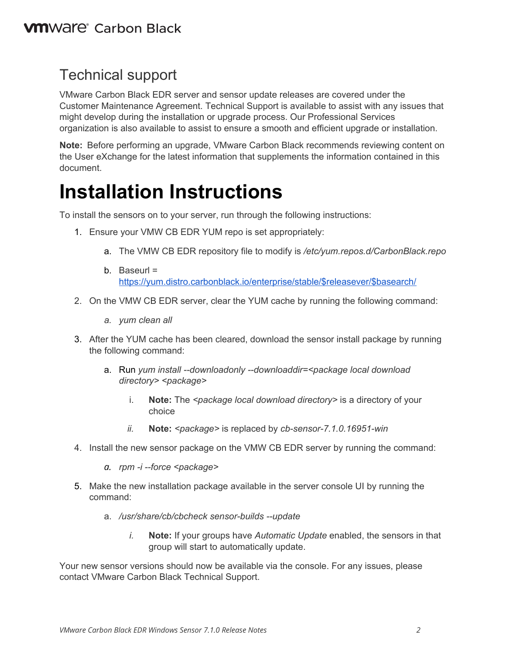### Technical support

VMware Carbon Black EDR server and sensor update releases are covered under the Customer Maintenance Agreement. Technical Support is available to assist with any issues that might develop during the installation or upgrade process. Our Professional Services organization is also available to assist to ensure a smooth and efficient upgrade or installation.

**Note:** Before performing an upgrade, VMware Carbon Black recommends reviewing content on the User eXchange for the latest information that supplements the information contained in this document.

# **Installation Instructions**

To install the sensors on to your server, run through the following instructions:

- 1. Ensure your VMW CB EDR YUM repo is set appropriately:
	- a. The VMW CB EDR repository file to modify is */etc/yum.repos.d/CarbonBlack.repo*
	- b. Baseurl = [https://yum.distro.carbonblack.io/enterprise/stable/\\$releasever/\\$basearch/](https://yum.distro.carbonblack.io/enterprise/stable/$releasever/$basearch/)
- 2. On the VMW CB EDR server, clear the YUM cache by running the following command:
	- *a. yum clean all*
- 3. After the YUM cache has been cleared, download the sensor install package by running the following command:
	- a. Run *yum install --downloadonly --downloaddir=<package local download directory> <package>*
		- i. **Note:** The *<package local download directory>* is a directory of your choice
		- *ii.* **Note:** *<package>* is replaced by *cb-sensor-7.1.0.16951-win*
- 4. Install the new sensor package on the VMW CB EDR server by running the command:
	- *a. rpm -i --force <package>*
- 5. Make the new installation package available in the server console UI by running the command:
	- a. */usr/share/cb/cbcheck sensor-builds --update*
		- *i.* **Note:** If your groups have *Automatic Update* enabled, the sensors in that group will start to automatically update.

Your new sensor versions should now be available via the console. For any issues, please contact VMware Carbon Black Technical Support.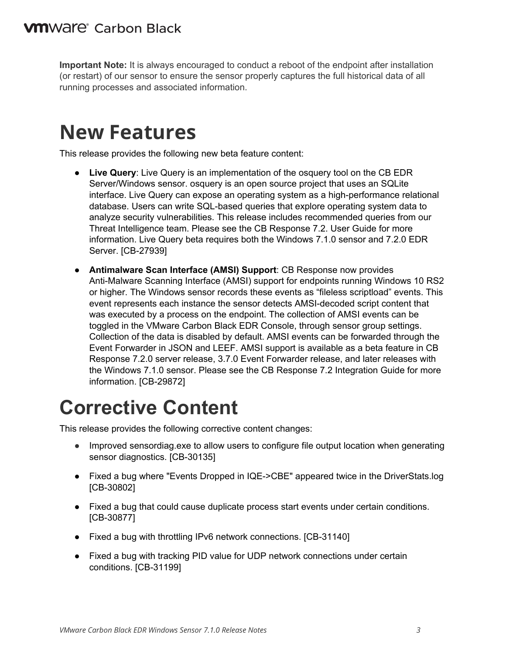**Important Note:** It is always encouraged to conduct a reboot of the endpoint after installation (or restart) of our sensor to ensure the sensor properly captures the full historical data of all running processes and associated information.

## **New Features**

This release provides the following new beta feature content:

- **Live Query:** Live Query is an implementation of the osquery tool on the CB EDR Server/Windows sensor. osquery is an open source project that uses an SQLite interface. Live Query can expose an operating system as a high-performance relational database. Users can write SQL-based queries that explore operating system data to analyze security vulnerabilities. This release includes recommended queries from our Threat Intelligence team. Please see the CB Response 7.2. User Guide for more information. Live Query beta requires both the Windows 7.1.0 sensor and 7.2.0 EDR Server. [CB-27939]
- **Antimalware Scan Interface (AMSI) Support**: CB Response now provides Anti-Malware Scanning Interface (AMSI) support for endpoints running Windows 10 RS2 or higher. The Windows sensor records these events as "fileless scriptload" events. This event represents each instance the sensor detects AMSI-decoded script content that was executed by a process on the endpoint. The collection of AMSI events can be toggled in the VMware Carbon Black EDR Console, through sensor group settings. Collection of the data is disabled by default. AMSI events can be forwarded through the Event Forwarder in JSON and LEEF. AMSI support is available as a beta feature in CB Response 7.2.0 server release, 3.7.0 Event Forwarder release, and later releases with the Windows 7.1.0 sensor. Please see the CB Response 7.2 Integration Guide for more information. [CB-29872]

# **Corrective Content**

This release provides the following corrective content changes:

- Improved sensordiag.exe to allow users to configure file output location when generating sensor diagnostics. [CB-30135]
- Fixed a bug where "Events Dropped in IQE->CBE" appeared twice in the DriverStats.log [CB-30802]
- Fixed a bug that could cause duplicate process start events under certain conditions. [CB-30877]
- Fixed a bug with throttling IPv6 network connections. [CB-31140]
- Fixed a bug with tracking PID value for UDP network connections under certain conditions. [CB-31199]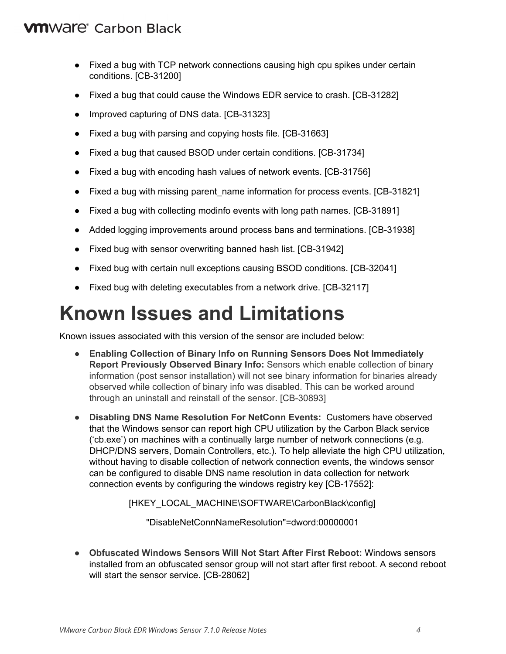#### **VM**Ware<sup>®</sup> Carbon Black

- Fixed a bug with TCP network connections causing high cpu spikes under certain conditions. [CB-31200]
- Fixed a bug that could cause the Windows EDR service to crash. [CB-31282]
- Improved capturing of DNS data. [CB-31323]
- Fixed a bug with parsing and copying hosts file. [CB-31663]
- Fixed a bug that caused BSOD under certain conditions. [CB-31734]
- Fixed a bug with encoding hash values of network events. [CB-31756]
- Fixed a bug with missing parent name information for process events. [CB-31821]
- Fixed a bug with collecting modinfo events with long path names. [CB-31891]
- Added logging improvements around process bans and terminations. [CB-31938]
- Fixed bug with sensor overwriting banned hash list. [CB-31942]
- Fixed bug with certain null exceptions causing BSOD conditions. [CB-32041]
- Fixed bug with deleting executables from a network drive. [CB-32117]

## **Known Issues and Limitations**

Known issues associated with this version of the sensor are included below:

- **Enabling Collection of Binary Info on Running Sensors Does Not Immediately Report Previously Observed Binary Info:** Sensors which enable collection of binary information (post sensor installation) will not see binary information for binaries already observed while collection of binary info was disabled. This can be worked around through an uninstall and reinstall of the sensor. [CB-30893]
- **Disabling DNS Name Resolution For NetConn Events:** Customers have observed that the Windows sensor can report high CPU utilization by the Carbon Black service ('cb.exe') on machines with a continually large number of network connections (e.g. DHCP/DNS servers, Domain Controllers, etc.). To help alleviate the high CPU utilization, without having to disable collection of network connection events, the windows sensor can be configured to disable DNS name resolution in data collection for network connection events by configuring the windows registry key [CB-17552]:

[HKEY\_LOCAL\_MACHINE\SOFTWARE\CarbonBlack\config]

"DisableNetConnNameResolution"=dword:00000001

● **Obfuscated Windows Sensors Will Not Start After First Reboot:** Windows sensors installed from an obfuscated sensor group will not start after first reboot. A second reboot will start the sensor service. [CB-28062]